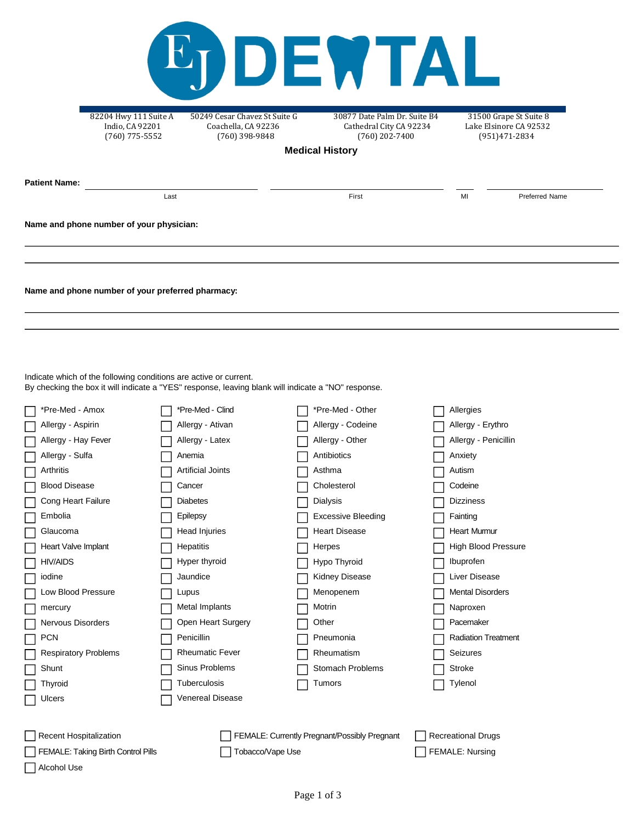|                                                                                                                                           | 82204 Hwy 111 Suite A<br>Indio, CA 92201<br>$(760)$ 775-5552                                  | 50249 Cesar Chavez St Suite G<br>Coachella, CA 92236<br>$(760)$ 398-9848                                                                                                                                                          | DEMTAL<br>30877 Date Palm Dr. Suite B4<br>Cathedral City CA 92234<br>$(760)$ 202-7400                        |                                                                                                            | 31500 Grape St Suite 8<br>Lake Elsinore CA 92532<br>(951)471-2834 |
|-------------------------------------------------------------------------------------------------------------------------------------------|-----------------------------------------------------------------------------------------------|-----------------------------------------------------------------------------------------------------------------------------------------------------------------------------------------------------------------------------------|--------------------------------------------------------------------------------------------------------------|------------------------------------------------------------------------------------------------------------|-------------------------------------------------------------------|
|                                                                                                                                           |                                                                                               |                                                                                                                                                                                                                                   | <b>Medical History</b>                                                                                       |                                                                                                            |                                                                   |
|                                                                                                                                           |                                                                                               |                                                                                                                                                                                                                                   |                                                                                                              |                                                                                                            |                                                                   |
| <b>Patient Name:</b>                                                                                                                      |                                                                                               |                                                                                                                                                                                                                                   |                                                                                                              |                                                                                                            |                                                                   |
|                                                                                                                                           | Last                                                                                          |                                                                                                                                                                                                                                   | First                                                                                                        | MI                                                                                                         | <b>Preferred Name</b>                                             |
|                                                                                                                                           | Name and phone number of your physician:<br>Name and phone number of your preferred pharmacy: |                                                                                                                                                                                                                                   |                                                                                                              |                                                                                                            |                                                                   |
| *Pre-Med - Amox<br>Allergy - Aspirin<br>Allergy - Hay Fever<br>Allergy - Sulfa<br>Arthritis<br><b>Blood Disease</b><br>Cong Heart Failure | Indicate which of the following conditions are active or current.                             | By checking the box it will indicate a "YES" response, leaving blank will indicate a "NO" response.<br>*Pre-Med - Clind<br>Allergy - Ativan<br>Allergy - Latex<br>Anemia<br><b>Artificial Joints</b><br>Cancer<br><b>Diabetes</b> | *Pre-Med - Other<br>Allergy - Codeine<br>Allergy - Other<br>Antibiotics<br>Asthma<br>Cholesterol<br>Dialysis | Allergies<br>Allergy - Erythro<br>Allergy - Penicillin<br>Anxiety<br>Autism<br>Codeine<br><b>Dizziness</b> |                                                                   |
|                                                                                                                                           |                                                                                               |                                                                                                                                                                                                                                   |                                                                                                              |                                                                                                            |                                                                   |

| Allergy - Hay Fever                | Allergy - Latex          | Allergy - Other                              | Allergy - Penicillin       |
|------------------------------------|--------------------------|----------------------------------------------|----------------------------|
| Allergy - Sulfa                    | Anemia                   | Antibiotics                                  | Anxiety                    |
| Arthritis                          | <b>Artificial Joints</b> | Asthma                                       | Autism                     |
| <b>Blood Disease</b>               | Cancer                   | Cholesterol                                  | Codeine                    |
| Cong Heart Failure                 | <b>Diabetes</b>          | Dialysis                                     | <b>Dizziness</b>           |
| Embolia                            | Epilepsy                 | <b>Excessive Bleeding</b>                    | Fainting                   |
| Glaucoma                           | Head Injuries            | <b>Heart Disease</b>                         | <b>Heart Murmur</b>        |
| Heart Valve Implant                | Hepatitis                | Herpes                                       | <b>High Blood Pressure</b> |
| <b>HIV/AIDS</b>                    | Hyper thyroid            | Hypo Thyroid                                 | Ibuprofen                  |
| iodine                             | Jaundice                 | <b>Kidney Disease</b>                        | Liver Disease              |
| Low Blood Pressure                 | Lupus                    | Menopenem                                    | <b>Mental Disorders</b>    |
| mercury                            | Metal Implants           | Motrin                                       | Naproxen                   |
| Nervous Disorders                  | Open Heart Surgery       | Other                                        | Pacemaker                  |
| <b>PCN</b>                         | Penicillin               | Pneumonia                                    | <b>Radiation Treatment</b> |
| <b>Respiratory Problems</b>        | <b>Rheumatic Fever</b>   | Rheumatism                                   | Seizures                   |
| Shunt                              | Sinus Problems           | <b>Stomach Problems</b>                      | <b>Stroke</b>              |
| Thyroid                            | Tuberculosis             | Tumors                                       | Tylenol                    |
| Ulcers                             | <b>Venereal Disease</b>  |                                              |                            |
|                                    |                          |                                              |                            |
| <b>Recent Hospitalization</b>      |                          | FEMALE: Currently Pregnant/Possibly Pregnant | <b>Recreational Drugs</b>  |
| FEMALE: Taking Birth Control Pills | Tobacco/Vape Use         |                                              | <b>FEMALE: Nursing</b>     |

Alcohol Use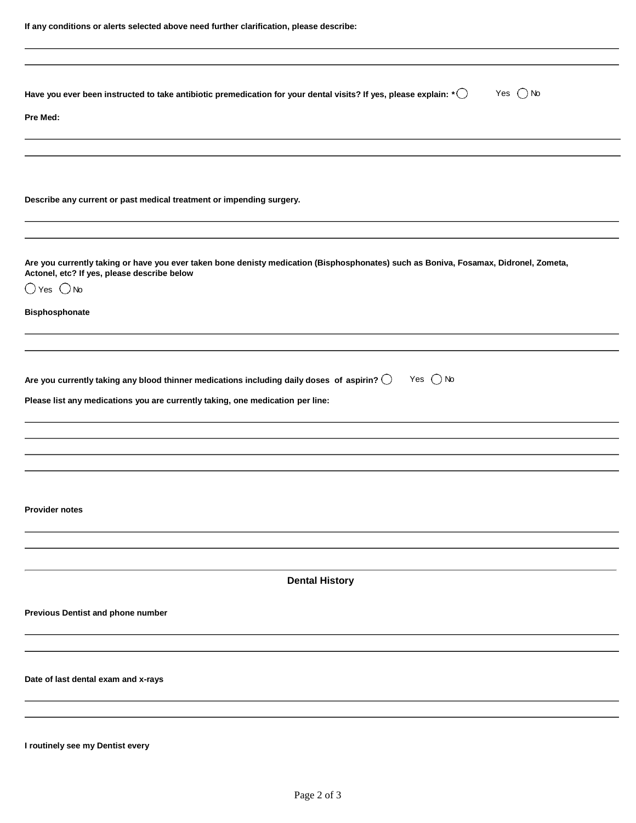| Have you ever been instructed to take antibiotic premedication for your dental visits? If yes, please explain: * $\bigcirc$<br>Yes $\bigcirc$ No<br>Pre Med:                                                                          |
|---------------------------------------------------------------------------------------------------------------------------------------------------------------------------------------------------------------------------------------|
| Describe any current or past medical treatment or impending surgery.                                                                                                                                                                  |
| Are you currently taking or have you ever taken bone denisty medication (Bisphosphonates) such as Boniva, Fosamax, Didronel, Zometa,<br>Actonel, etc? If yes, please describe below<br>$\bigcirc$ Yes $\bigcirc$ No<br>Bisphosphonate |
|                                                                                                                                                                                                                                       |
| Are you currently taking any blood thinner medications including daily doses of aspirin? $\bigcirc$<br>Yes $\bigcirc$ No<br>Please list any medications you are currently taking, one medication per line:                            |
|                                                                                                                                                                                                                                       |
|                                                                                                                                                                                                                                       |
|                                                                                                                                                                                                                                       |
| <b>Provider notes</b>                                                                                                                                                                                                                 |
|                                                                                                                                                                                                                                       |
| <b>Dental History</b>                                                                                                                                                                                                                 |
| <b>Previous Dentist and phone number</b>                                                                                                                                                                                              |
|                                                                                                                                                                                                                                       |
| Date of last dental exam and x-rays                                                                                                                                                                                                   |
|                                                                                                                                                                                                                                       |
|                                                                                                                                                                                                                                       |

**I routinely see my Dentist every**